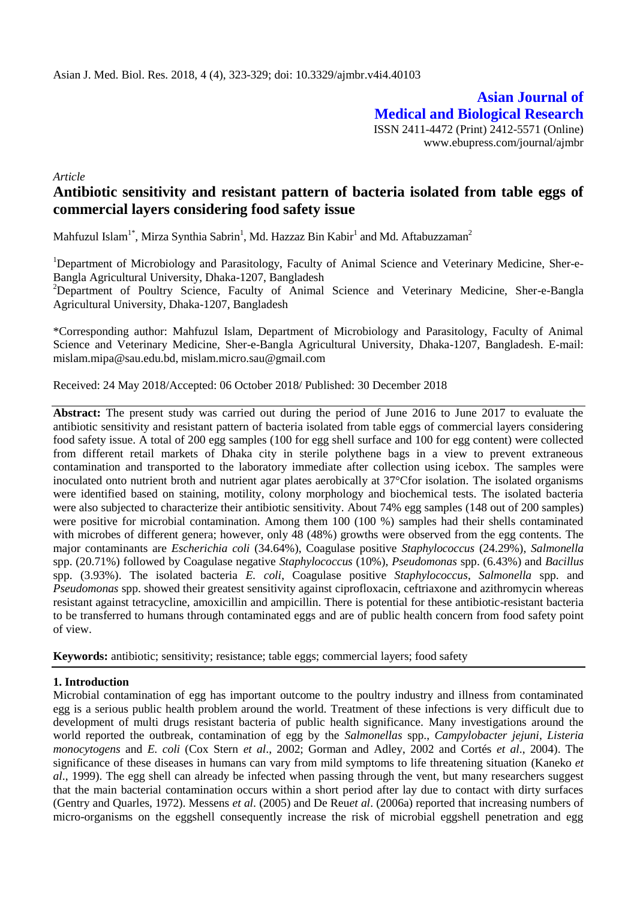**Asian Journal of Medical and Biological Research** ISSN 2411-4472 (Print) 2412-5571 (Online) www.ebupress.com/journal/ajmbr

*Article*

# **Antibiotic sensitivity and resistant pattern of bacteria isolated from table eggs of commercial layers considering food safety issue**

Mahfuzul Islam $^{1*}$ , Mirza Synthia Sabrin $^{1}$ , Md. Hazzaz Bin Kabir $^{1}$  and Md. Aftabuzzaman $^{2}$ 

<sup>1</sup>Department of Microbiology and Parasitology, Faculty of Animal Science and Veterinary Medicine, Sher-e-Bangla Agricultural University, Dhaka-1207, Bangladesh

<sup>2</sup>Department of Poultry Science, Faculty of Animal Science and Veterinary Medicine, Sher-e-Bangla Agricultural University, Dhaka-1207, Bangladesh

\*Corresponding author: Mahfuzul Islam, Department of Microbiology and Parasitology, Faculty of Animal Science and Veterinary Medicine, Sher-e-Bangla Agricultural University, Dhaka-1207, Bangladesh. E-mail: [mislam.mipa@sau.edu.bd,](mailto:mislam.mipa@sau.edu.bd) [mislam.micro.sau@gmail.com](mailto:mislam.micro.sau@gmail.com)

Received: 24 May 2018/Accepted: 06 October 2018/ Published: 30 December 2018

**Abstract:** The present study was carried out during the period of June 2016 to June 2017 to evaluate the antibiotic sensitivity and resistant pattern of bacteria isolated from table eggs of commercial layers considering food safety issue. A total of 200 egg samples (100 for egg shell surface and 100 for egg content) were collected from different retail markets of Dhaka city in sterile polythene bags in a view to prevent extraneous contamination and transported to the laboratory immediate after collection using icebox. The samples were inoculated onto nutrient broth and nutrient agar plates aerobically at 37°Cfor isolation. The isolated organisms were identified based on staining, motility, colony morphology and biochemical tests. The isolated bacteria were also subjected to characterize their antibiotic sensitivity. About 74% egg samples (148 out of 200 samples) were positive for microbial contamination. Among them 100 (100 %) samples had their shells contaminated with microbes of different genera; however, only 48 (48%) growths were observed from the egg contents. The major contaminants are *Escherichia coli* (34.64%), Coagulase positive *Staphylococcus* (24.29%), *Salmonella* spp. (20.71%) followed by Coagulase negative *Staphylococcus* (10%), *Pseudomonas* spp. (6.43%) and *Bacillus* spp. (3.93%). The isolated bacteria *E. coli*, Coagulase positive *Staphylococcus*, *Salmonella* spp. and *Pseudomonas* spp. showed their greatest sensitivity against ciprofloxacin, ceftriaxone and azithromycin whereas resistant against tetracycline, amoxicillin and ampicillin. There is potential for these antibiotic-resistant bacteria to be transferred to humans through contaminated eggs and are of public health concern from food safety point of view.

**Keywords:** antibiotic; sensitivity; resistance; table eggs; commercial layers; food safety

# **1. Introduction**

Microbial contamination of egg has important outcome to the poultry industry and illness from contaminated egg is a serious public health problem around the world. Treatment of these infections is very difficult due to development of multi drugs resistant bacteria of public health significance. Many investigations around the world reported the outbreak, contamination of egg by the *Salmonellas* spp., *Campylobacter jejuni*, *Listeria monocytogens* and *E. coli* (Cox Stern *et al*., 2002; Gorman and Adley, 2002 and Cortés *et al*., 2004). The significance of these diseases in humans can vary from mild symptoms to life threatening situation (Kaneko *et al*., 1999). The egg shell can already be infected when passing through the vent, but many researchers suggest that the main bacterial contamination occurs within a short period after lay due to contact with dirty surfaces (Gentry and Quarles, 1972). Messens *et al*. (2005) and De Reu*et al*. (2006a) reported that increasing numbers of micro-organisms on the eggshell consequently increase the risk of microbial eggshell penetration and egg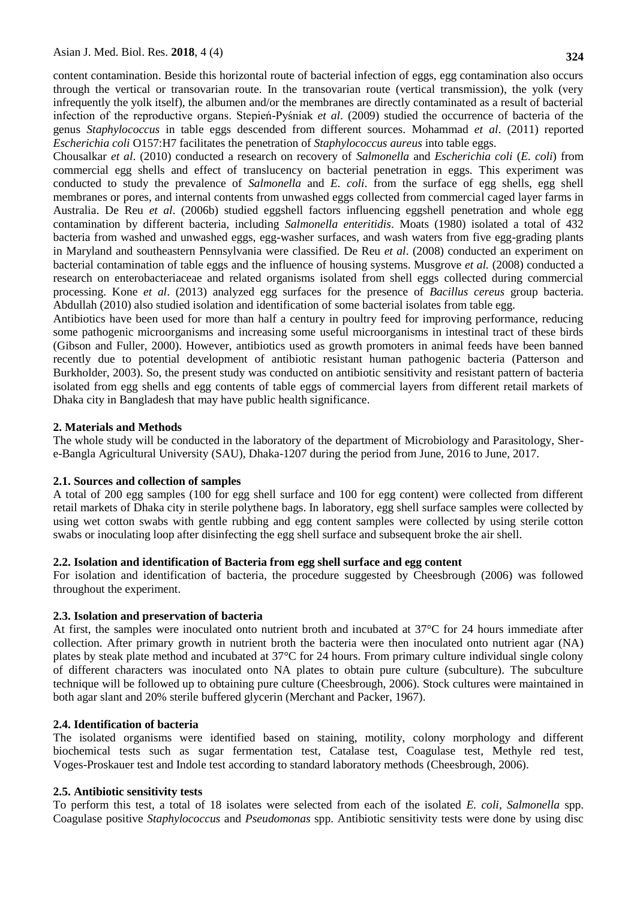content contamination. Beside this horizontal route of bacterial infection of eggs, egg contamination also occurs through the vertical or transovarian route. In the transovarian route (vertical transmission), the yolk (very infrequently the yolk itself), the albumen and/or the membranes are directly contaminated as a result of bacterial infection of the reproductive organs. Stepień-Pyśniak *et al*. (2009) studied the occurrence of bacteria of the genus *Staphylococcus* in table eggs descended from different sources. [Mohammad](http://www.researchgate.net/researcher/59183778_Mohammad_Q_Al-Natour/) *et al*. (2011) reported *Escherichia coli* O157:H7 facilitates the penetration of *Staphylococcus aureus* into table eggs.

Chousalkar *et al*. (2010) conducted a research on recovery of *Salmonella* and *Escherichia coli* (*E. coli*) from commercial egg shells and effect of translucency on bacterial penetration in eggs. This experiment was conducted to study the prevalence of *Salmonella* and *E. coli*. from the surface of egg shells, egg shell membranes or pores, and internal contents from unwashed eggs collected from commercial caged layer farms in Australia. De Reu *et al*. (2006b) studied eggshell factors influencing eggshell penetration and whole egg contamination by different bacteria, including *Salmonella enteritidis*. Moats (1980) isolated a total of 432 bacteria from washed and unwashed eggs, egg-washer surfaces, and wash waters from five egg-grading plants in Maryland and southeastern Pennsylvania were classified. De Reu *et al*. (2008) conducted an experiment on bacterial contamination of table eggs and the influence of housing systems. Musgrove *et al.* (2008) conducted a research on enterobacteriaceae and related organisms isolated from shell eggs collected during commercial processing. Kone *et al*. (2013) analyzed egg surfaces for the presence of *Bacillus cereus* group bacteria. Abdullah (2010) also studied isolation and identification of some bacterial isolates from table egg.

Antibiotics have been used for more than half a century in poultry feed for improving performance, reducing some pathogenic microorganisms and increasing some useful microorganisms in intestinal tract of these birds (Gibson and Fuller, 2000). However, antibiotics used as growth promoters in animal feeds have been banned recently due to potential development of antibiotic resistant human pathogenic bacteria (Patterson and Burkholder, 2003). So, the present study was conducted on antibiotic sensitivity and resistant pattern of bacteria isolated from egg shells and egg contents of table eggs of commercial layers from different retail markets of Dhaka city in Bangladesh that may have public health significance.

## **2. Materials and Methods**

The whole study will be conducted in the laboratory of the department of Microbiology and Parasitology, Shere-Bangla Agricultural University (SAU), Dhaka-1207 during the period from June, 2016 to June, 2017.

## **2.1. Sources and collection of samples**

A total of 200 egg samples (100 for egg shell surface and 100 for egg content) were collected from different retail markets of Dhaka city in sterile polythene bags. In laboratory, egg shell surface samples were collected by using wet cotton swabs with gentle rubbing and egg content samples were collected by using sterile cotton swabs or inoculating loop after disinfecting the egg shell surface and subsequent broke the air shell.

## **2.2. Isolation and identification of Bacteria from egg shell surface and egg content**

For isolation and identification of bacteria, the procedure suggested by Cheesbrough (2006) was followed throughout the experiment.

# **2.3. Isolation and preservation of bacteria**

At first, the samples were inoculated onto nutrient broth and incubated at 37°C for 24 hours immediate after collection. After primary growth in nutrient broth the bacteria were then inoculated onto nutrient agar (NA) plates by steak plate method and incubated at 37°C for 24 hours. From primary culture individual single colony of different characters was inoculated onto NA plates to obtain pure culture (subculture). The subculture technique will be followed up to obtaining pure culture (Cheesbrough, 2006). Stock cultures were maintained in both agar slant and 20% sterile buffered glycerin (Merchant and Packer, 1967).

## **2.4. Identification of bacteria**

The isolated organisms were identified based on staining, motility, colony morphology and different biochemical tests such as sugar fermentation test, Catalase test, Coagulase test, Methyle red test, Voges-Proskauer test and Indole test according to standard laboratory methods (Cheesbrough, 2006).

## **2.5. Antibiotic sensitivity tests**

To perform this test, a total of 18 isolates were selected from each of the isolated *E. coli*, *Salmonella* spp. Coagulase positive *Staphylococcus* and *Pseudomonas* spp. Antibiotic sensitivity tests were done by using disc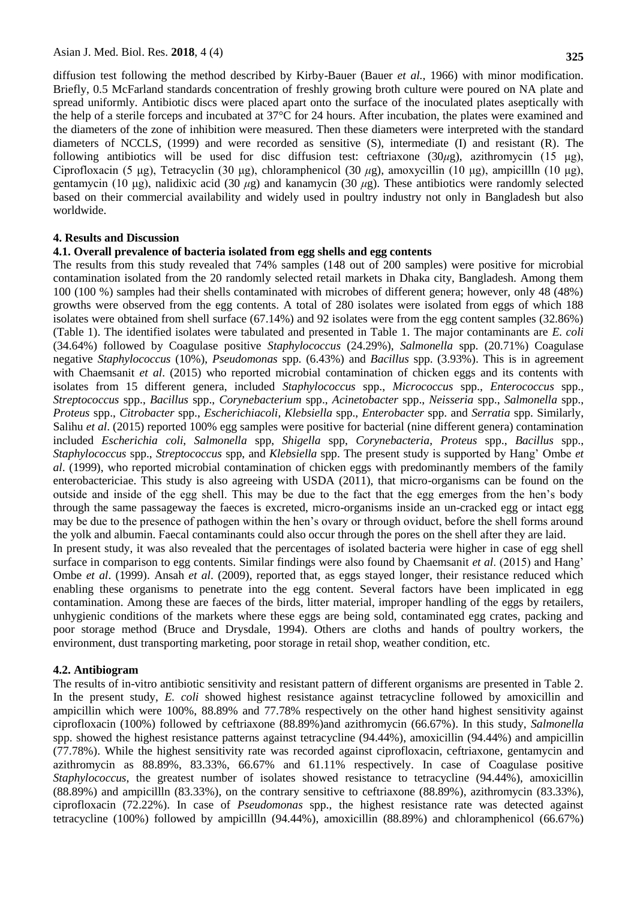diffusion test following the method described by Kirby-Bauer (Bauer *et al.,* 1966) with minor modification. Briefly, 0.5 McFarland standards concentration of freshly growing broth culture were poured on NA plate and spread uniformly. Antibiotic discs were placed apart onto the surface of the inoculated plates aseptically with the help of a sterile forceps and incubated at 37°C for 24 hours. After incubation, the plates were examined and the diameters of the zone of inhibition were measured. Then these diameters were interpreted with the standard diameters of NCCLS, (1999) and were recorded as sensitive (S), intermediate (I) and resistant (R). The following antibiotics will be used for disc diffusion test: ceftriaxone (30*μ*g), azithromycin (15 μg), Ciprofloxacin (5 μg), Tetracyclin (30 μg), chloramphenicol (30 *μ*g), amoxycillin (10 μg), ampicillln (10 μg), gentamycin (10 μg), nalidixic acid (30 *μ*g) and kanamycin (30 *μ*g). These antibiotics were randomly selected based on their commercial availability and widely used in poultry industry not only in Bangladesh but also worldwide.

#### **4. Results and Discussion**

#### **4.1. Overall prevalence of bacteria isolated from egg shells and egg contents**

The results from this study revealed that 74% samples (148 out of 200 samples) were positive for microbial contamination isolated from the 20 randomly selected retail markets in Dhaka city, Bangladesh. Among them 100 (100 %) samples had their shells contaminated with microbes of different genera; however, only 48 (48%) growths were observed from the egg contents. A total of 280 isolates were isolated from eggs of which 188 isolates were obtained from shell surface (67.14%) and 92 isolates were from the egg content samples (32.86%) (Table 1). The identified isolates were tabulated and presented in Table 1. The major contaminants are *E. coli*  (34.64%) followed by Coagulase positive *Staphylococcus* (24.29%), *Salmonella* spp. (20.71%) Coagulase negative *Staphylococcus* (10%), *Pseudomonas* spp. (6.43%) and *Bacillus* spp. (3.93%). This is in agreement with Chaemsanit *et al.* (2015) who reported microbial contamination of chicken eggs and its contents with isolates from 15 different genera, included *Staphylococcus* spp., *Micrococcus* spp., *Enterococcus* spp., *Streptococcus* spp., *Bacillus* spp., *Corynebacterium* spp., *Acinetobacter* spp., *Neisseria* spp., *Salmonella* spp., *Proteus* spp., *Citrobacter* spp., *Escherichiacoli*, *Klebsiella* spp., *Enterobacter* spp. and *Serratia* spp. Similarly, Salihu *et al*. (2015) reported 100% egg samples were positive for bacterial (nine different genera) contamination included *Escherichia coli*, *Salmonella* spp, *Shigella* spp, *Corynebacteria*, *Proteus* spp., *Bacillus* spp., *Staphylococcus* spp., *Streptococcus* spp, and *Klebsiella* spp. The present study is supported by Hang' Ombe *et al*. (1999), who reported microbial contamination of chicken eggs with predominantly members of the family enterobactericiae. This study is also agreeing with USDA (2011), that micro-organisms can be found on the outside and inside of the egg shell. This may be due to the fact that the egg emerges from the hen's body through the same passageway the faeces is excreted, micro-organisms inside an un-cracked egg or intact egg may be due to the presence of pathogen within the hen's ovary or through oviduct, before the shell forms around the yolk and albumin. Faecal contaminants could also occur through the pores on the shell after they are laid. In present study, it was also revealed that the percentages of isolated bacteria were higher in case of egg shell surface in comparison to egg contents. Similar findings were also found by Chaemsanit *et al*. (2015) and Hang' Ombe *et al*. (1999). Ansah *et al*. (2009), reported that, as eggs stayed longer, their resistance reduced which enabling these organisms to penetrate into the egg content. Several factors have been implicated in egg contamination. Among these are faeces of the birds, litter material, improper handling of the eggs by retailers,

unhygienic conditions of the markets where these eggs are being sold, contaminated egg crates, packing and poor storage method (Bruce and Drysdale, 1994). Others are cloths and hands of poultry workers, the environment, dust transporting marketing, poor storage in retail shop, weather condition, etc.

#### **4.2. Antibiogram**

The results of in-vitro antibiotic sensitivity and resistant pattern of different organisms are presented in Table 2. In the present study, *E. coli* showed highest resistance against tetracycline followed by amoxicillin and ampicillin which were 100%, 88.89% and 77.78% respectively on the other hand highest sensitivity against ciprofloxacin (100%) followed by ceftriaxone (88.89%)and azithromycin (66.67%). In this study, *Salmonella* spp. showed the highest resistance patterns against tetracycline (94.44%), amoxicillin (94.44%) and ampicillin (77.78%). While the highest sensitivity rate was recorded against ciprofloxacin, ceftriaxone, gentamycin and azithromycin as 88.89%, 83.33%, 66.67% and 61.11% respectively. In case of Coagulase positive *Staphylococcus*, the greatest number of isolates showed resistance to tetracycline (94.44%), amoxicillin (88.89%) and ampicillln (83.33%), on the contrary sensitive to ceftriaxone (88.89%), azithromycin (83.33%), ciprofloxacin (72.22%). In case of *Pseudomonas* spp., the highest resistance rate was detected against tetracycline (100%) followed by ampicillln (94.44%), amoxicillin (88.89%) and chloramphenicol (66.67%)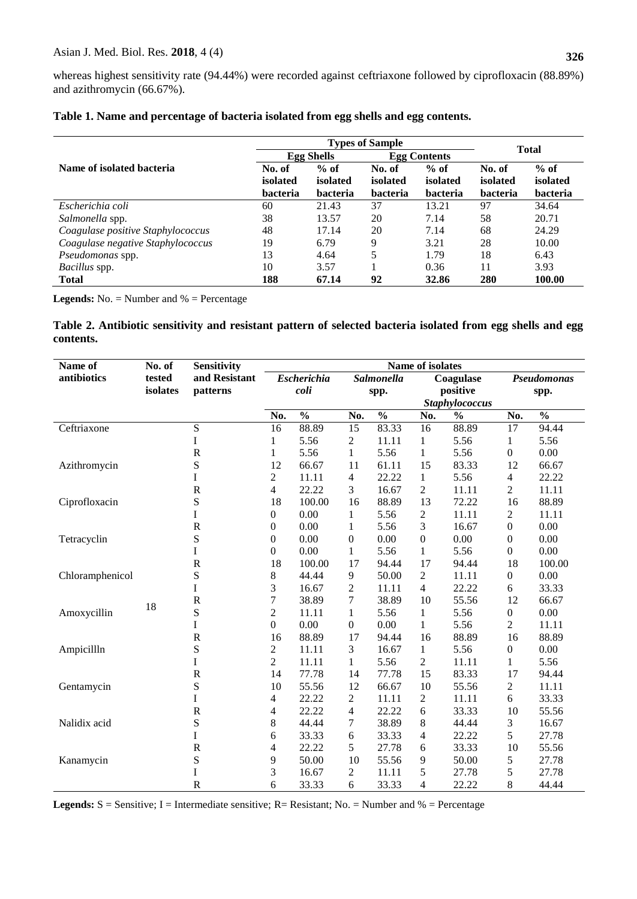|                                   |                 | <b>Types of Sample</b> |                 |                     |                 |                    |  |
|-----------------------------------|-----------------|------------------------|-----------------|---------------------|-----------------|--------------------|--|
|                                   |                 | <b>Egg Shells</b>      |                 | <b>Egg Contents</b> | <b>Total</b>    |                    |  |
| Name of isolated bacteria         | No. of          | $%$ of<br>isolated     | No. of          | $%$ of              | No. of          | $%$ of<br>isolated |  |
|                                   | isolated        |                        | isolated        | isolated            | isolated        |                    |  |
|                                   | <b>bacteria</b> | <b>bacteria</b>        | <b>bacteria</b> | <b>bacteria</b>     | <b>bacteria</b> | <b>bacteria</b>    |  |
| Escherichia coli                  | 60              | 21.43                  | 37              | 13.21               | 97              | 34.64              |  |
| Salmonella spp.                   | 38              | 13.57                  | 20              | 7.14                | 58              | 20.71              |  |
| Coagulase positive Staphylococcus | 48              | 17.14                  | 20              | 7.14                | 68              | 24.29              |  |
| Coagulase negative Staphylococcus | 19              | 6.79                   | 9               | 3.21                | 28              | 10.00              |  |
| Pseudomonas spp.                  | 13              | 4.64                   | 5               | 1.79                | 18              | 6.43               |  |
| Bacillus spp.                     | 10              | 3.57                   |                 | 0.36                |                 | 3.93               |  |
| <b>Total</b>                      | 188             | 67.14                  | 92              | 32.86               | 280             | 100.00             |  |

|  |  |  | Table 1. Name and percentage of bacteria isolated from egg shells and egg contents. |
|--|--|--|-------------------------------------------------------------------------------------|
|  |  |  |                                                                                     |

**Legends:** No. = Number and % = Percentage

## **Table 2. Antibiotic sensitivity and resistant pattern of selected bacteria isolated from egg shells and egg contents.**

| Name of         | No. of   | <b>Sensitivity</b> | Name of isolates   |               |                  |               |                       |               |                  |               |
|-----------------|----------|--------------------|--------------------|---------------|------------------|---------------|-----------------------|---------------|------------------|---------------|
| antibiotics     | tested   | and Resistant      | <b>Escherichia</b> |               | Salmonella       | Coagulase     |                       | Pseudomonas   |                  |               |
|                 | isolates | patterns           | coli               |               | spp.             |               | positive              |               | spp.             |               |
|                 |          |                    |                    |               |                  |               | <b>Staphylococcus</b> |               |                  |               |
|                 |          |                    | No.                | $\frac{0}{0}$ | No.              | $\frac{0}{0}$ | No.                   | $\frac{0}{0}$ | No.              | $\frac{0}{0}$ |
| Ceftriaxone     |          | ${\bf S}$          | 16                 | 88.89         | 15               | 83.33         | 16                    | 88.89         | 17               | 94.44         |
|                 |          | I                  | 1                  | 5.56          | $\overline{c}$   | 11.11         | $\mathbf{1}$          | 5.56          | 1                | 5.56          |
|                 |          | $\mathbf R$        | $\mathbf{1}$       | 5.56          | $\mathbf{1}$     | 5.56          | $\mathbf{1}$          | 5.56          | $\boldsymbol{0}$ | 0.00          |
| Azithromycin    |          | S                  | 12                 | 66.67         | 11               | 61.11         | 15                    | 83.33         | 12               | 66.67         |
|                 |          | I                  | $\overline{2}$     | 11.11         | $\overline{4}$   | 22.22         | $\mathbf{1}$          | 5.56          | 4                | 22.22         |
|                 |          | $\mathbf R$        | $\overline{4}$     | 22.22         | 3                | 16.67         | $\mathbf{2}$          | 11.11         | $\overline{c}$   | 11.11         |
| Ciprofloxacin   |          | S                  | 18                 | 100.00        | 16               | 88.89         | 13                    | 72.22         | 16               | 88.89         |
|                 |          | I                  | $\boldsymbol{0}$   | 0.00          | $\mathbf{1}$     | 5.56          | $\boldsymbol{2}$      | 11.11         | 2                | 11.11         |
|                 |          | $\mathbf R$        | $\boldsymbol{0}$   | 0.00          | $\mathbf{1}$     | 5.56          | 3                     | 16.67         | $\boldsymbol{0}$ | 0.00          |
| Tetracyclin     |          | S                  | 0                  | 0.00          | $\boldsymbol{0}$ | 0.00          | $\boldsymbol{0}$      | 0.00          | $\boldsymbol{0}$ | 0.00          |
|                 |          | I                  | $\boldsymbol{0}$   | 0.00          | $\mathbf{1}$     | 5.56          | $\mathbf{1}$          | 5.56          | $\boldsymbol{0}$ | 0.00          |
|                 |          | $\mathbf R$        | 18                 | 100.00        | 17               | 94.44         | 17                    | 94.44         | 18               | 100.00        |
| Chloramphenicol |          | S                  | 8                  | 44.44         | 9                | 50.00         | $\sqrt{2}$            | 11.11         | $\boldsymbol{0}$ | 0.00          |
|                 |          | I                  | 3                  | 16.67         | $\overline{2}$   | 11.11         | $\overline{4}$        | 22.22         | 6                | 33.33         |
|                 | 18       | $\mathbf R$        | $\boldsymbol{7}$   | 38.89         | $\boldsymbol{7}$ | 38.89         | 10                    | 55.56         | 12               | 66.67         |
| Amoxycillin     |          | S                  | $\mathfrak{2}$     | 11.11         | $\mathbf{1}$     | 5.56          | $\mathbf{1}$          | 5.56          | $\boldsymbol{0}$ | 0.00          |
|                 |          | I                  | $\boldsymbol{0}$   | $0.00\,$      | $\boldsymbol{0}$ | 0.00          | $\mathbf{1}$          | 5.56          | $\overline{c}$   | 11.11         |
|                 |          | ${\bf R}$          | 16                 | 88.89         | 17               | 94.44         | 16                    | 88.89         | 16               | 88.89         |
| Ampicillln      |          | S                  | $\boldsymbol{2}$   | 11.11         | 3                | 16.67         | $\mathbf{1}$          | 5.56          | $\boldsymbol{0}$ | 0.00          |
|                 |          | I                  | $\overline{2}$     | 11.11         | $\mathbf{1}$     | 5.56          | $\mathbf{2}$          | 11.11         | 1                | 5.56          |
|                 |          | $\mathbf R$        | 14                 | 77.78         | 14               | 77.78         | 15                    | 83.33         | 17               | 94.44         |
| Gentamycin      |          | S                  | 10                 | 55.56         | 12               | 66.67         | 10                    | 55.56         | $\overline{c}$   | 11.11         |
|                 |          | I                  | $\overline{4}$     | 22.22         | $\sqrt{2}$       | 11.11         | $\overline{c}$        | 11.11         | 6                | 33.33         |
|                 |          | $\mathbf R$        | $\overline{4}$     | 22.22         | $\overline{4}$   | 22.22         | 6                     | 33.33         | 10               | 55.56         |
| Nalidix acid    |          | S                  | $\,$ 8 $\,$        | 44.44         | 7                | 38.89         | 8                     | 44.44         | 3                | 16.67         |
|                 |          | I                  | 6                  | 33.33         | 6                | 33.33         | 4                     | 22.22         | 5                | 27.78         |
|                 |          | $\mathbf R$        | 4                  | 22.22         | 5                | 27.78         | 6                     | 33.33         | 10               | 55.56         |
| Kanamycin       |          | S                  | 9                  | 50.00         | 10               | 55.56         | 9                     | 50.00         | 5                | 27.78         |
|                 |          | I                  | 3                  | 16.67         | $\boldsymbol{2}$ | 11.11         | 5                     | 27.78         | 5                | 27.78         |
|                 |          | $\mathbf R$        | 6                  | 33.33         | 6                | 33.33         | 4                     | 22.22         | 8                | 44.44         |

Legends: S = Sensitive; I = Intermediate sensitive; R = Resistant; No. = Number and % = Percentage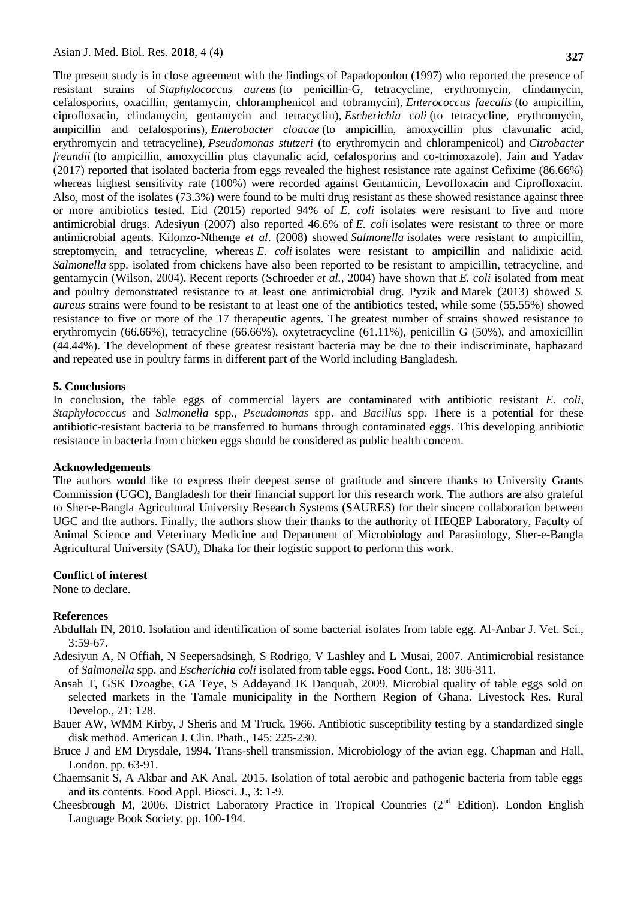The present study is in close agreement with the findings of Papadopoulou (1997) who reported the presence of resistant strains of *Staphylococcus aureus* (to penicillin-G, tetracycline, erythromycin, clindamycin, cefalosporins, oxacillin, gentamycin, chloramphenicol and tobramycin), *Enterococcus faecalis* (to ampicillin, ciprofloxacin, clindamycin, gentamycin and tetracyclin), *Escherichia coli* (to tetracycline, erythromycin, ampicillin and cefalosporins), *Enterobacter cloacae* (to ampicillin, amoxycillin plus clavunalic acid, erythromycin and tetracycline), *Pseudomonas stutzeri* (to erythromycin and chlorampenicol) and *Citrobacter freundii* (to ampicillin, amoxycillin plus clavunalic acid, cefalosporins and co-trimoxazole). Jain and Yadav (2017) reported that isolated bacteria from eggs revealed the highest resistance rate against Cefixime (86.66%) whereas highest sensitivity rate (100%) were recorded against Gentamicin, Levofloxacin and Ciprofloxacin. Also, most of the isolates (73.3%) were found to be multi drug resistant as these showed resistance against three or more antibiotics tested. Eid (2015) reported 94% of *E. coli* isolates were resistant to five and more antimicrobial drugs. Adesiyun (2007) also reported 46.6% of *E. coli* isolates were resistant to three or more antimicrobial agents. Kilonzo-Nthenge *et al*. (2008) showed *Salmonella* isolates were resistant to ampicillin, streptomycin, and tetracycline, whereas *E. coli* isolates were resistant to ampicillin and nalidixic acid. *Salmonella* spp. isolated from chickens have also been reported to be resistant to ampicillin, tetracycline, and gentamycin (Wilson, 2004). Recent reports (Schroeder *et al.,* 2004) have shown that *E. coli* isolated from meat and poultry demonstrated resistance to at least one antimicrobial drug. Pyzik and [Marek](https://www.ncbi.nlm.nih.gov/pubmed/?term=Marek%20A%5BAuthor%5D&cauthor=true&cauthor_uid=23971199) (2013) showed *S. aureus* strains were found to be resistant to at least one of the antibiotics tested, while some (55.55%) showed resistance to five or more of the 17 therapeutic agents. The greatest number of strains showed resistance to erythromycin (66.66%), tetracycline (66.66%), oxytetracycline (61.11%), penicillin G (50%), and amoxicillin (44.44%). The development of these greatest resistant bacteria may be due to their indiscriminate, haphazard and repeated use in poultry farms in different part of the World including Bangladesh.

#### **5. Conclusions**

In conclusion, the table eggs of commercial layers are contaminated with antibiotic resistant *E. coli, Staphylococcus* and *Salmonella* spp., *Pseudomonas* spp. and *Bacillus* spp. There is a potential for these antibiotic-resistant bacteria to be transferred to humans through contaminated eggs. This developing antibiotic resistance in bacteria from chicken eggs should be considered as public health concern.

#### **Acknowledgements**

The authors would like to express their deepest sense of gratitude and sincere thanks to University Grants Commission (UGC), Bangladesh for their financial support for this research work. The authors are also grateful to Sher-e-Bangla Agricultural University Research Systems (SAURES) for their sincere collaboration between UGC and the authors. Finally, the authors show their thanks to the authority of HEQEP Laboratory, Faculty of Animal Science and Veterinary Medicine and Department of Microbiology and Parasitology, Sher-e-Bangla Agricultural University (SAU), Dhaka for their logistic support to perform this work.

#### **Conflict of interest**

None to declare.

#### **References**

- Abdullah IN, 2010. Isolation and identification of some bacterial isolates from table egg. Al-Anbar J. Vet. Sci., 3:59-67.
- Adesiyun A, N Offiah, N Seepersadsingh, S Rodrigo, V Lashley and L Musai, 2007. Antimicrobial resistance of *Salmonella* spp. and *Escherichia coli* isolated from table eggs. [Food Cont.](http://www.sciencedirect.com/science/journal/09567135), [18:](http://www.sciencedirect.com/science/journal/09567135/18/4) 306-311.
- Ansah T, GSK Dzoagbe, GA Teye, S Addayand JK Danquah, 2009. Microbial quality of table eggs sold on selected markets in the Tamale municipality in the Northern Region of Ghana. Livestock Res. Rural Develop., 21: 128.
- Bauer AW, WMM Kirby, J Sheris and M Truck, 1966. Antibiotic susceptibility testing by a standardized single disk method. American J. Clin. Phath., 145: 225-230.
- Bruce J and EM Drysdale, 1994. Trans-shell transmission. Microbiology of the avian egg. Chapman and Hall, London. pp. 63-91.
- Chaemsanit S, A Akbar and AK Anal, 2015. Isolation of total aerobic and pathogenic bacteria from table eggs and its contents. Food Appl. Biosci. J., 3: 1-9.
- Cheesbrough M, 2006. District Laboratory Practice in Tropical Countries (2<sup>nd</sup> Edition). London English Language Book Society. pp. 100-194.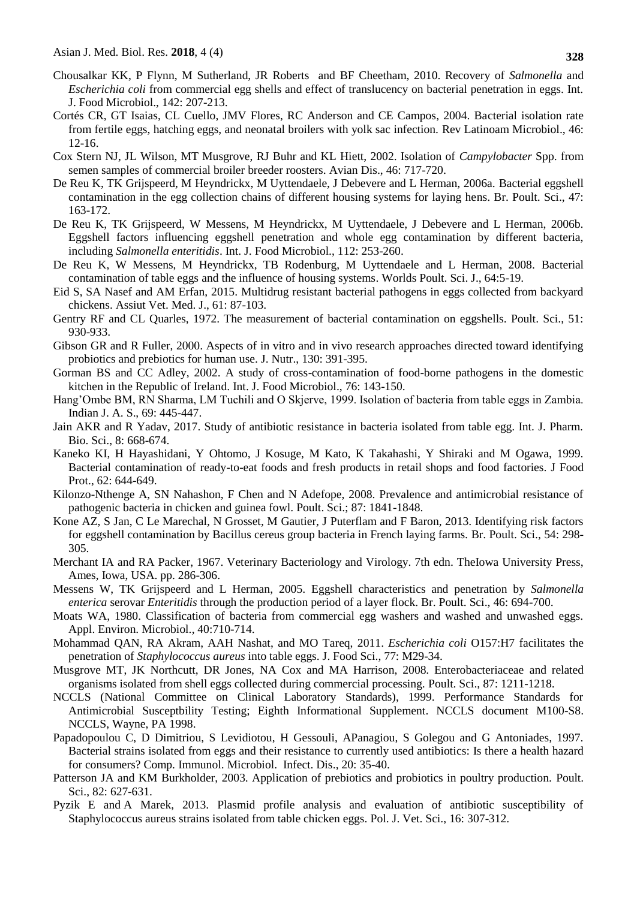- [Chousalkar KK,](http://www.ncbi.nlm.nih.gov/pubmed?term=Chousalkar%20KK%5BAuthor%5D&cauthor=true&cauthor_uid=20663580) P [Flynn,](http://www.ncbi.nlm.nih.gov/pubmed?term=Flynn%20P%5BAuthor%5D&cauthor=true&cauthor_uid=20663580) M [Sutherland,](http://www.ncbi.nlm.nih.gov/pubmed?term=Sutherland%20M%5BAuthor%5D&cauthor=true&cauthor_uid=20663580) JR [Roberts](http://www.ncbi.nlm.nih.gov/pubmed?term=Roberts%20JR%5BAuthor%5D&cauthor=true&cauthor_uid=20663580) and BF [Cheetham,](http://www.ncbi.nlm.nih.gov/pubmed?term=Cheetham%20BF%5BAuthor%5D&cauthor=true&cauthor_uid=20663580) 2010. Recovery of *Salmonella* and *Escherichia coli* from commercial egg shells and effect of translucency on bacterial penetration in eggs. Int. J. Food Microbiol., 142: 207-213.
- Cortés CR, GT Isaias, CL Cuello, JMV Flores, RC Anderson and CE Campos, 2004. Bacterial isolation rate from fertile eggs, hatching eggs, and neonatal broilers with yolk sac infection. Rev Latinoam Microbiol., 46: 12-16.
- Cox Stern NJ, JL Wilson, MT Musgrove, RJ Buhr and KL Hiett, 2002. Isolation of *Campylobacter* Spp. from semen samples of commercial broiler breeder roosters. Avian Dis., 46: 717-720.
- De Reu K, TK Grijspeerd, M Heyndrickx, M Uyttendaele, J Debevere and L Herman, 2006a. Bacterial eggshell contamination in the egg collection chains of different housing systems for laying hens. Br. Poult. Sci., 47: 163-172.
- De Reu K, TK Grijspeerd, W Messens, M Heyndrickx, M Uyttendaele, J Debevere and L Herman, 2006b. Eggshell factors influencing eggshell penetration and whole egg contamination by different bacteria, including *Salmonella enteritidis*. Int. J. Food Microbiol., 112: 253-260.
- De Reu K, W Messens, M Heyndrickx, TB Rodenburg, M Uyttendaele and L Herman, 2008. Bacterial contamination of table eggs and the influence of housing systems. Worlds Poult. Sci. J., 64:5-19.
- Eid S, SA Nasef and AM Erfan, 2015. Multidrug resistant bacterial pathogens in eggs collected from backyard chickens. Assiut Vet. Med. J., 61: 87-103.
- Gentry RF and CL Quarles, 1972. The measurement of bacterial contamination on eggshells. Poult. Sci., 51: 930-933.
- Gibson GR and R Fuller, 2000. Aspects of in vitro and in vivo research approaches directed toward identifying probiotics and prebiotics for human use. J. Nutr., 130: 391-395.
- Gorman BS and CC Adley, 2002. A study of cross-contamination of food-borne pathogens in the domestic kitchen in the Republic of Ireland. Int. J. Food Microbiol., 76: 143-150.
- Hang'Ombe BM, RN Sharma, LM Tuchili and O Skjerve, 1999. Isolation of bacteria from table eggs in Zambia. Indian J. A. S., 69: 445-447.
- Jain AKR and R Yadav, 2017. Study of antibiotic resistance in bacteria isolated from table egg. Int. J. Pharm. Bio. Sci., 8: 668-674.
- Kaneko KI, H Hayashidani, Y Ohtomo, J Kosuge, M Kato, K Takahashi, Y Shiraki and M Ogawa, 1999. Bacterial contamination of ready-to-eat foods and fresh products in retail shops and food factories. J Food Prot., 62: 644-649.
- Kilonzo-Nthenge A, SN Nahashon, F Chen and N Adefope, 2008. Prevalence and antimicrobial resistance of pathogenic bacteria in chicken and guinea fowl. Poult. Sci.; 87: 1841-1848.
- Kone AZ, S Jan, C Le Marechal, N Grosset, M Gautier, J Puterflam and F Baron, 2013. Identifying risk factors for eggshell contamination by Bacillus cereus group bacteria in French laying farms. Br. Poult. Sci., 54: 298- 305.
- Merchant IA and RA Packer, 1967. Veterinary Bacteriology and Virology. 7th edn. TheIowa University Press, Ames, Iowa, USA. pp. 286-306.
- Messens W, TK Grijspeerd and L Herman, 2005. Eggshell characteristics and penetration by *Salmonella enterica* serovar *Enteritidis* through the production period of a layer flock. Br. Poult. Sci., 46: 694-700.
- Moats WA, 1980. Classification of bacteria from commercial egg washers and washed and unwashed eggs. Appl. Environ. Microbiol., 40:710-714.
- [Mohammad QAN,](http://www.researchgate.net/researcher/59183778_Mohammad_Q_Al-Natour/) RA [Akram,](http://www.researchgate.net/researcher/58948703_Akram_R_Alaboudi/) AAH [Nashat,](http://www.researchgate.net/researcher/59184292_Nashat_A_Al-Hatamelh/) and MO [Tareq,](http://www.researchgate.net/researcher/15933073_Tareq_M_Osaili/) 2011. *Escherichia coli* O157:H7 facilitates the penetration of *Staphylococcus aureus* into table eggs. [J. Food Sci.,](http://www.researchgate.net/journal/1750-3841_Journal_of_Food_Science) 77: M29-34.
- Musgrove MT, JK Northcutt, DR Jones, NA Cox and MA Harrison, 2008. Enterobacteriaceae and related organisms isolated from shell eggs collected during commercial processing. Poult. Sci., 87: 1211-1218.
- NCCLS (National Committee on Clinical Laboratory Standards), 1999. Performance Standards for Antimicrobial Susceptbility Testing; Eighth Informational Supplement. NCCLS document M100-S8. NCCLS, Wayne, PA 1998.
- Papadopoulou C, D Dimitriou, S Levidiotou, H Gessouli, APanagiou, S Golegou and G Antoniades, 1997. Bacterial strains isolated from eggs and their resistance to currently used antibiotics: Is there a health hazard for consumers? [Comp. Immunol. Microbiol. Infect. Dis.](http://www.sciencedirect.com/science/journal/01479571), [20:](http://www.sciencedirect.com/science/journal/01479571/20/1) 35-40.
- Patterson JA and KM Burkholder, 2003. Application of prebiotics and probiotics in poultry production. Poult. Sci., 82: 627-631.
- [Pyzik E](https://www.ncbi.nlm.nih.gov/pubmed/?term=Pyzik%20E%5BAuthor%5D&cauthor=true&cauthor_uid=23971199) and A [Marek,](https://www.ncbi.nlm.nih.gov/pubmed/?term=Marek%20A%5BAuthor%5D&cauthor=true&cauthor_uid=23971199) 2013. Plasmid profile analysis and evaluation of antibiotic susceptibility of Staphylococcus aureus strains isolated from table chicken eggs. [Pol. J. Vet. Sci.,](https://www.ncbi.nlm.nih.gov/pubmed/23971199) 16: 307-312.